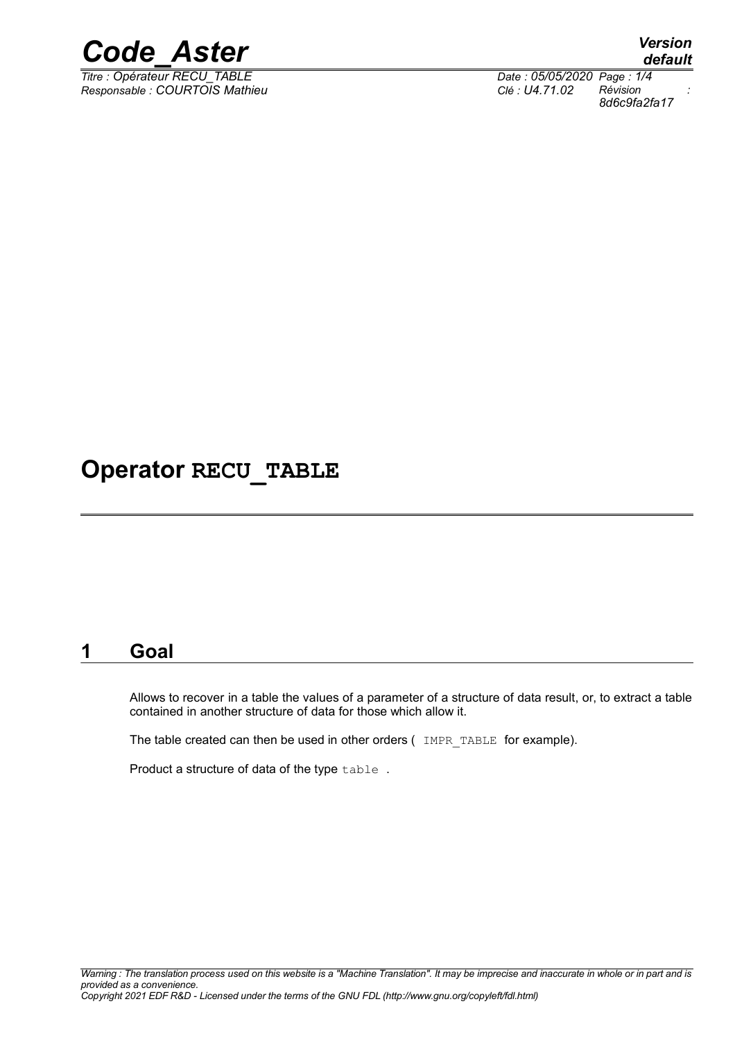

*Titre : Opérateur RECU\_TABLE Date : 05/05/2020 Page : 1/4 Responsable : COURTOIS Mathieu Clé : U4.71.02 Révision :*

*default 8d6c9fa2fa17*

### **Operator RECU\_TABLE**

#### **1 Goal**

Allows to recover in a table the values of a parameter of a structure of data result, or, to extract a table contained in another structure of data for those which allow it.

The table created can then be used in other orders ( IMPR TABLE for example).

Product a structure of data of the type table .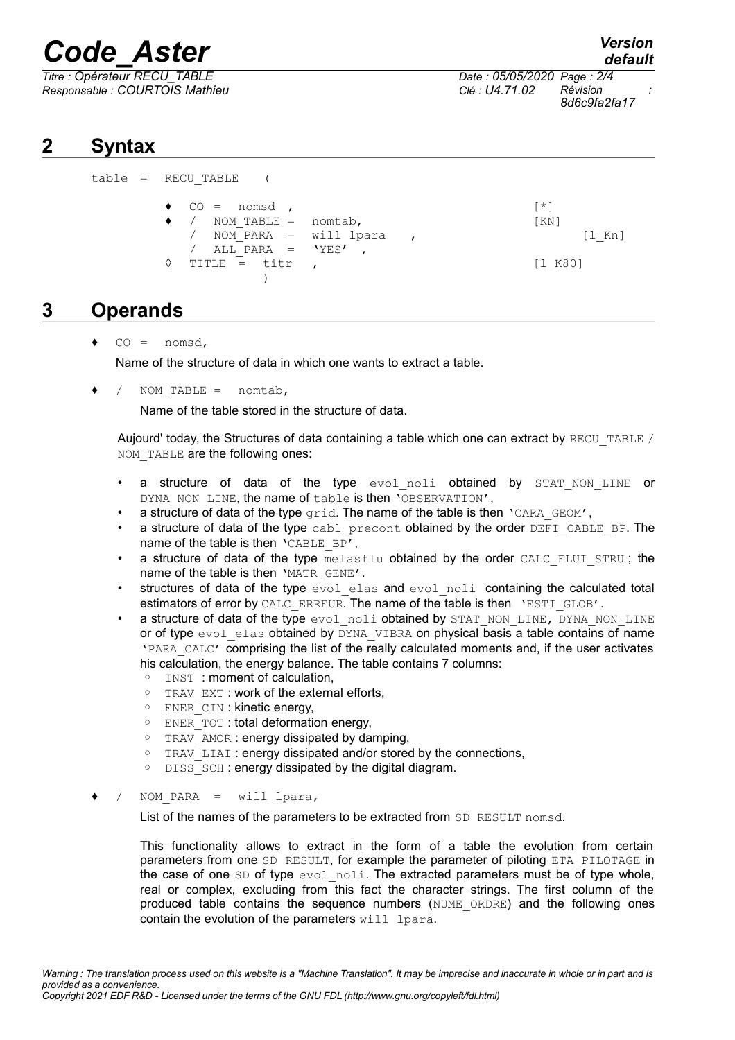## *Code\_Aster Version*

*Titre : Opérateur RECU\_TABLE Date : 05/05/2020 Page : 2/4 Responsable : COURTOIS Mathieu Clé : U4.71.02 Révision :*

*8d6c9fa2fa17*

#### **2 Syntax**

| table = RECU TABLE      |  |                    |
|-------------------------|--|--------------------|
| $\bullet$ CO = nomsd,   |  | $*1$               |
| / NOM TABLE = nomtab,   |  | $\lceil KN \rceil$ |
| / NOM PARA = will lpara |  | $[1$ Kn]           |
| / ALL PARA = $'YES'$ ,  |  |                    |
| TITLE = titr<br>♦       |  | [1 K80]            |
|                         |  |                    |

#### **3 Operands**

 $CO =$  nomsd,

Name of the structure of data in which one wants to extract a table.

NOM TABLE =  $n$ omtab,

Name of the table stored in the structure of data.

Aujourd' today, the Structures of data containing a table which one can extract by RECU\_TABLE / NOM TABLE are the following ones:

- a structure of data of the type evol noli obtained by STAT NON LINE or DYNA NON LINE, the name of table is then 'OBSERVATION',
- a structure of data of the type  $qrid$ . The name of the table is then  $\Gamma$ CARA GEOM',
- a structure of data of the type cabl\_precont obtained by the order DEFI\_CABLE\_BP. The name of the table is then 'CABLE\_BP',
- a structure of data of the type melasflu obtained by the order CALC\_FLUI\_STRU; the name of the table is then 'MATR GENE'.
- structures of data of the type  $evol$  elas and  $evol$  noli containing the calculated total estimators of error by CALC\_ERREUR. The name of the table is then 'ESTI\_GLOB'.
- a structure of data of the type evol noli obtained by STAT\_NON\_LINE, DYNA\_NON\_LINE or of type  $evol$  elas obtained by  $DYNA$  VIBRA on physical basis a table contains of name 'PARA\_CALC' comprising the list of the really calculated moments and, if the user activates his calculation, the energy balance. The table contains 7 columns:
	- INST : moment of calculation,
	- TRAV\_EXT : work of the external efforts,
	- ENER\_CIN : kinetic energy,
	- ENER\_TOT : total deformation energy,
	- TRAV\_AMOR : energy dissipated by damping,
	- TRAV\_LIAI : energy dissipated and/or stored by the connections,
	- DISS\_SCH : energy dissipated by the digital diagram.
- $\bullet$  / NOM PARA = will lpara,

List of the names of the parameters to be extracted from SD RESULT nomsd.

This functionality allows to extract in the form of a table the evolution from certain parameters from one SD RESULT, for example the parameter of piloting ETA\_PILOTAGE in the case of one SD of type evol noli. The extracted parameters must be of type whole, real or complex, excluding from this fact the character strings. The first column of the produced table contains the sequence numbers (NUME\_ORDRE) and the following ones contain the evolution of the parameters  $with$  lpara.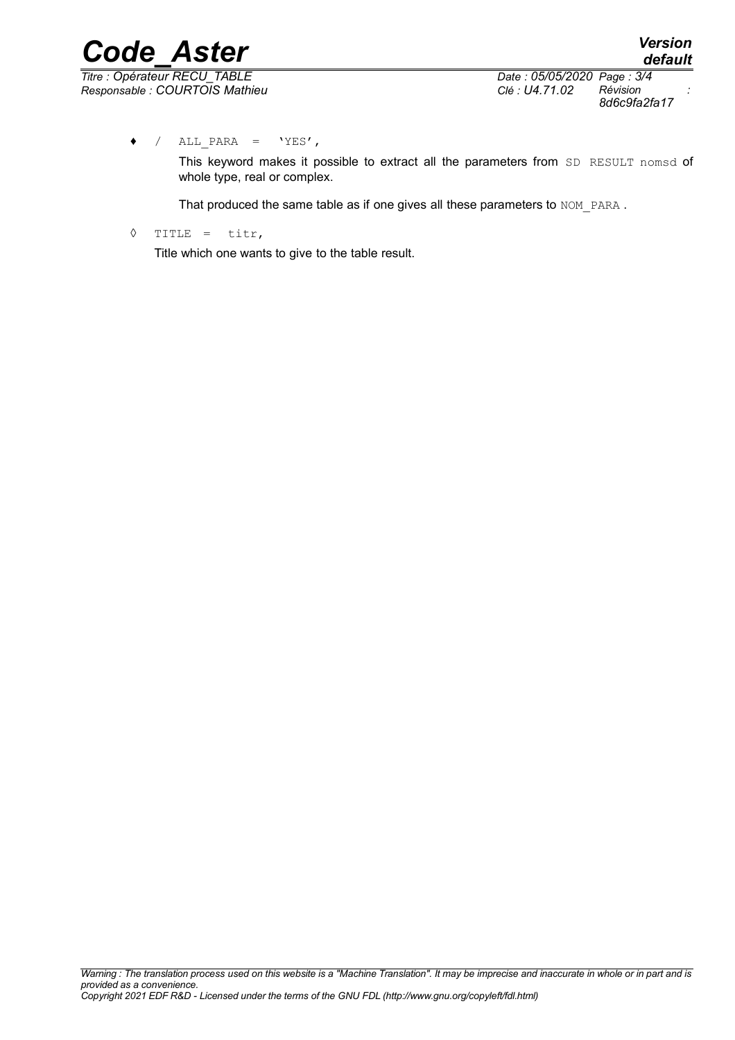*8d6c9fa2fa17*

 $\bullet$  / ALL PARA = 'YES',

This keyword makes it possible to extract all the parameters from SD RESULT nomsd of whole type, real or complex.

That produced the same table as if one gives all these parameters to NOM\_PARA.

◊ TITLE = titr,

Title which one wants to give to the table result.